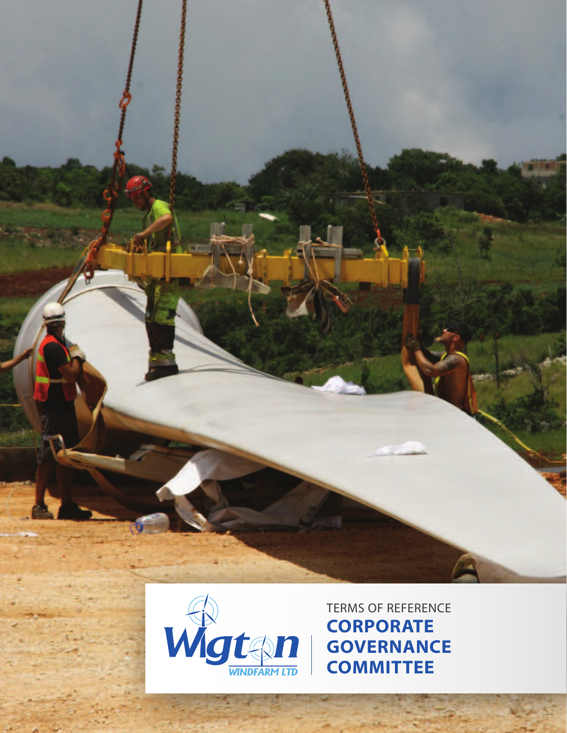



TERMS OF REFERENCE **CORPORATE GOVERNANCE COMMITTEE**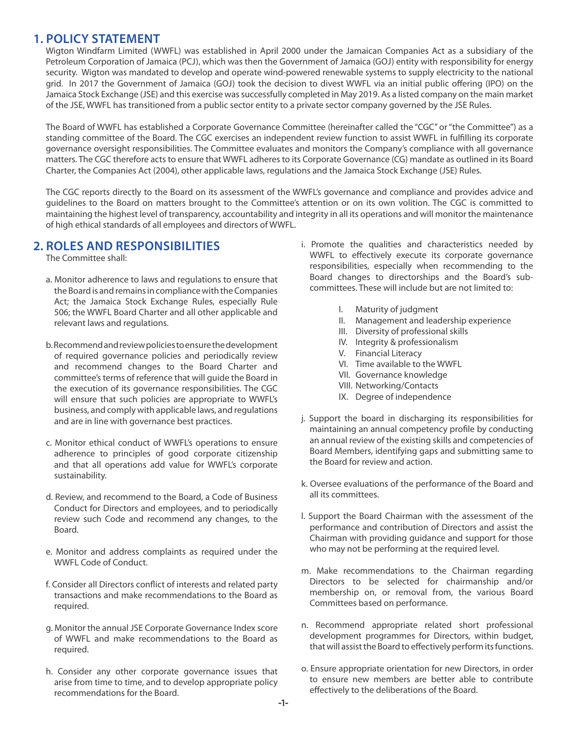#### **1. POLICY STATEMENT**

Wigton Windfarm Limited (WWFL) was established in April 2000 under the Jamaican Companies Act as a subsidiary of the Petroleum Corporation of Jamaica (PCJ), which was then the Government of Jamaica (GOJ) entity with responsibility for energy security. Wigton was mandated to develop and operate wind-powered renewable systems to supply electricity to the national grid. In 2017 the Government of Jamaica (GOJ) took the decision to divest WWFL via an initial public offering (IPO) on the Jamaica Stock Exchange (JSE) and this exercise was successfully completed in May 2019. As a listed company on the main market of the JSE, WWFL has transitioned from a public sector entity to a private sector company governed by the JSE Rules.

The Board of WWFL has established a Corporate Governance Committee (hereinafter called the "CGC" or "the Committee") as a standing committee of the Board. The CGC exercises an independent review function to assist WWFL in fulfilling its corporate governance oversight responsibilities. The Committee evaluates and monitors the Company's compliance with all governance matters. The CGC therefore acts to ensure that WWFL adheres to its Corporate Governance (CG) mandate as outlined in its Board Charter, the Companies Act (2004), other applicable laws, regulations and the Jamaica Stock Exchange (JSE) Rules.

The CGC reports directly to the Board on its assessment of the WWFL's governance and compliance and provides advice and guidelines to the Board on matters brought to the Committee's attention or on its own volition. The CGC is committed to maintaining the highest level of transparency, accountability and integrity in all its operations and will monitor the maintenance of high ethical standards of all employees and directors of WWFL.

## **2. ROLES AND RESPONSIBILITIES**

The Committee shall:

- a. Monitor adherence to laws and regulations to ensure that the Board is and remains in compliance with the Companies Act; the Jamaica Stock Exchange Rules, especially Rule 506; the WWFL Board Charter and all other applicable and relevant laws and regulations.
- b. Recommend and review policies to ensure the development of required governance policies and periodically review and recommend changes to the Board Charter and committee's terms of reference that will guide the Board in the execution of its governance responsibilities. The CGC will ensure that such policies are appropriate to WWFL's business, and comply with applicable laws, and regulations and are in line with governance best practices.
- c. Monitor ethical conduct of WWFL's operations to ensure adherence to principles of good corporate citizenship and that all operations add value for WWFL's corporate sustainability.
- d. Review, and recommend to the Board, a Code of Business Conduct for Directors and employees, and to periodically review such Code and recommend any changes, to the Board.
- e. Monitor and address complaints as required under the WWFL Code of Conduct.
- f. Consider all Directors conflict of interests and related party transactions and make recommendations to the Board as required.
- g. Monitor the annual JSE Corporate Governance Index score of WWFL and make recommendations to the Board as required.
- h. Consider any other corporate governance issues that arise from time to time, and to develop appropriate policy recommendations for the Board.
- i. Promote the qualities and characteristics needed by WWFL to effectively execute its corporate governance responsibilities, especially when recommending to the Board changes to directorships and the Board's subcommittees. These will include but are not limited to:
	- I. Maturity of judgment
	- II. Management and leadership experience
	- III. Diversity of professional skills
	- IV. Integrity & professionalism
	- V. Financial Literacy
	- VI. Time available to the WWFL
	- VII. Governance knowledge
	- VIII. Networking/Contacts
	- IX. Degree of independence
- j. Support the board in discharging its responsibilities for maintaining an annual competency profile by conducting an annual review of the existing skills and competencies of Board Members, identifying gaps and submitting same to the Board for review and action.
- k. Oversee evaluations of the performance of the Board and all its committees.
- l. Support the Board Chairman with the assessment of the performance and contribution of Directors and assist the Chairman with providing guidance and support for those who may not be performing at the required level.
- m. Make recommendations to the Chairman regarding Directors to be selected for chairmanship and/or membership on, or removal from, the various Board Committees based on performance.
- n. Recommend appropriate related short professional development programmes for Directors, within budget, that will assist the Board to effectively perform its functions.
- o. Ensure appropriate orientation for new Directors, in order to ensure new members are better able to contribute effectively to the deliberations of the Board.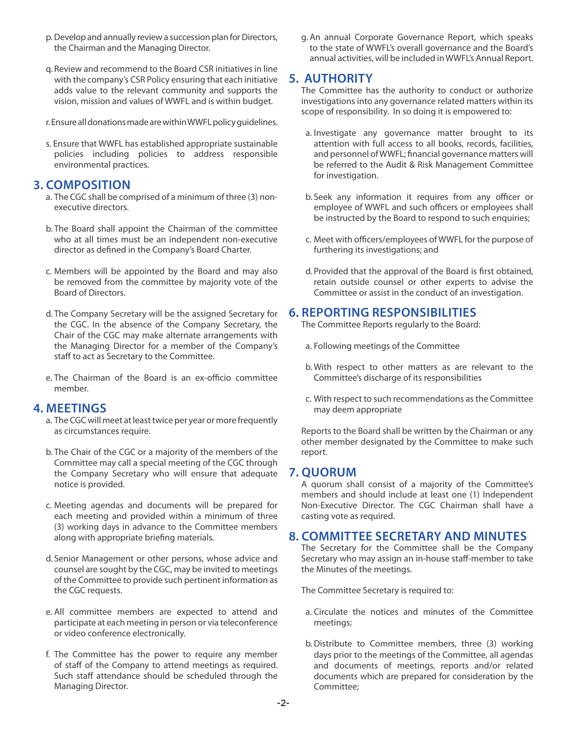- p. Develop and annually review a succession plan for Directors, the Chairman and the Managing Director.
- q. Review and recommend to the Board CSR initiatives in line with the company's CSR Policy ensuring that each initiative adds value to the relevant community and supports the vision, mission and values of WWFL and is within budget.
- r. Ensure all donations made are within WWFL policy guidelines.
- s. Ensure that WWFL has established appropriate sustainable policies including policies to address responsible environmental practices.

## **3. COMPOSITION**

- a. The CGC shall be comprised of a minimum of three (3) nonexecutive directors.
- b. The Board shall appoint the Chairman of the committee who at all times must be an independent non-executive director as defined in the Company's Board Charter.
- c. Members will be appointed by the Board and may also be removed from the committee by majority vote of the Board of Directors.
- d. The Company Secretary will be the assigned Secretary for the CGC. In the absence of the Company Secretary, the Chair of the CGC may make alternate arrangements with the Managing Director for a member of the Company's staff to act as Secretary to the Committee.
- e. The Chairman of the Board is an ex-officio committee member.

## **4. MEETINGS**

- a. The CGC will meet at least twice per year or more frequently as circumstances require.
- b. The Chair of the CGC or a majority of the members of the Committee may call a special meeting of the CGC through the Company Secretary who will ensure that adequate notice is provided.
- c. Meeting agendas and documents will be prepared for each meeting and provided within a minimum of three (3) working days in advance to the Committee members along with appropriate briefing materials.
- d. Senior Management or other persons, whose advice and counsel are sought by the CGC, may be invited to meetings of the Committee to provide such pertinent information as the CGC requests.
- e. All committee members are expected to attend and participate at each meeting in person or via teleconference or video conference electronically.
- f. The Committee has the power to require any member of staff of the Company to attend meetings as required. Such staff attendance should be scheduled through the Managing Director.

g.An annual Corporate Governance Report, which speaks to the state of WWFL's overall governance and the Board's annual activities, will be included in WWFL's Annual Report.

## **5. AUTHORITY**

The Committee has the authority to conduct or authorize investigations into any governance related matters within its scope of responsibility. In so doing it is empowered to:

- a. Investigate any governance matter brought to its attention with full access to all books, records, facilities, and personnel of WWFL; financial governance matters will be referred to the Audit & Risk Management Committee for investigation.
- b. Seek any information it requires from any officer or employee of WWFL and such officers or employees shall be instructed by the Board to respond to such enquiries;
- c. Meet with officers/employees of WWFL for the purpose of furthering its investigations; and
- d. Provided that the approval of the Board is first obtained, retain outside counsel or other experts to advise the Committee or assist in the conduct of an investigation.

## **6. REPORTING RESPONSIBILITIES**

The Committee Reports regularly to the Board:

- a. Following meetings of the Committee
- b. With respect to other matters as are relevant to the Committee's discharge of its responsibilities
- c. With respect to such recommendations as the Committee may deem appropriate

Reports to the Board shall be written by the Chairman or any other member designated by the Committee to make such report.

## **7. QUORUM**

A quorum shall consist of a majority of the Committee's members and should include at least one (1) Independent Non-Executive Director. The CGC Chairman shall have a casting vote as required.

## **8. COMMITTEE SECRETARY AND MINUTES**

The Secretary for the Committee shall be the Company Secretary who may assign an in-house staff-member to take the Minutes of the meetings.

The Committee Secretary is required to:

- a. Circulate the notices and minutes of the Committee meetings;
- b.Distribute to Committee members, three (3) working days prior to the meetings of the Committee, all agendas and documents of meetings, reports and/or related documents which are prepared for consideration by the Committee;